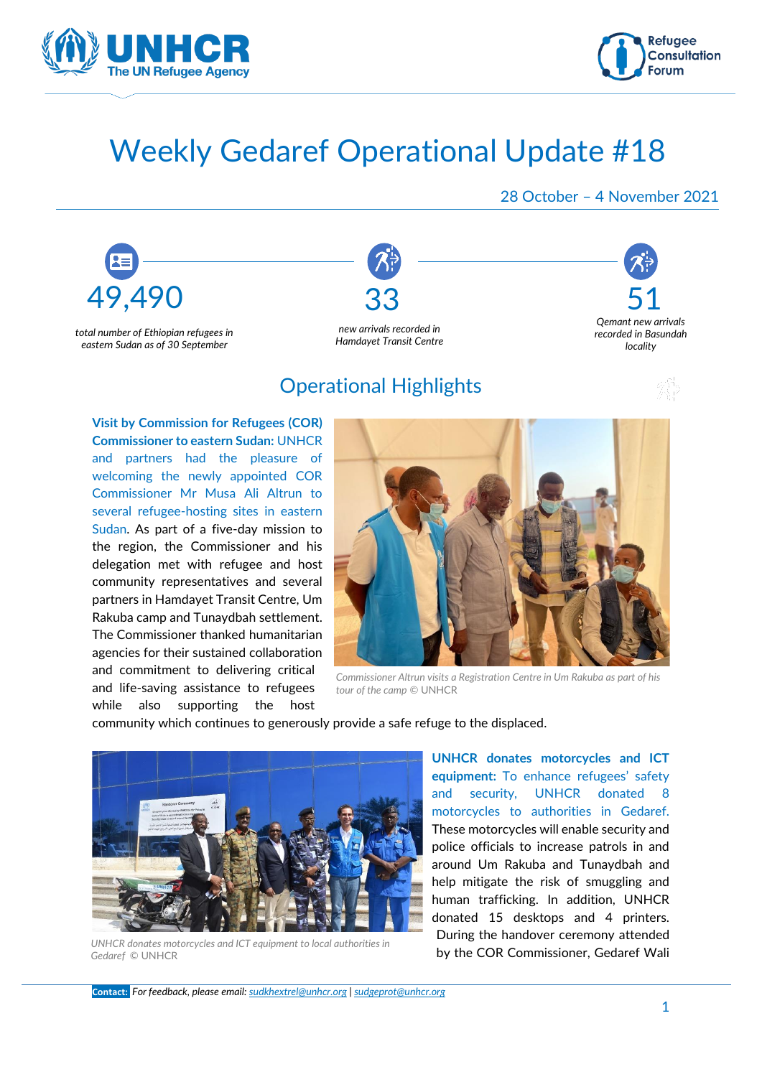



# Weekly Gedaref Operational Update #18

#### 28 October – 4 November 2021

*Qemant new arrivals recorded in Basundah locality* 



*total number of Ethiopian refugees in eastern Sudan as of 30 September*



*Hamdayet Transit Centre* 

# Operational Highlights

**Visit by Commission for Refugees (COR) Commissioner to eastern Sudan:** UNHCR and partners had the pleasure of welcoming the newly appointed COR Commissioner Mr Musa Ali Altrun to several refugee-hosting sites in eastern Sudan. As part of a five-day mission to the region, the Commissioner and his delegation met with refugee and host community representatives and several partners in Hamdayet Transit Centre, Um Rakuba camp and Tunaydbah settlement. The Commissioner thanked humanitarian agencies for their sustained collaboration and commitment to delivering critical and life-saving assistance to refugees while also supporting the host



*Commissioner Altrun visits a Registration Centre in Um Rakuba as part of his tour of the camp* © UNHCR

community which continues to generously provide a safe refuge to the displaced.



*UNHCR donates motorcycles and ICT equipment to local authorities in Gedaref* © UNHCR

**UNHCR donates motorcycles and ICT equipment:** To enhance refugees' safety and security, UNHCR donated 8 motorcycles to authorities in Gedaref. These motorcycles will enable security and police officials to increase patrols in and around Um Rakuba and Tunaydbah and help mitigate the risk of smuggling and human trafficking. In addition, UNHCR donated 15 desktops and 4 printers. During the handover ceremony attended by the COR Commissioner, Gedaref Wali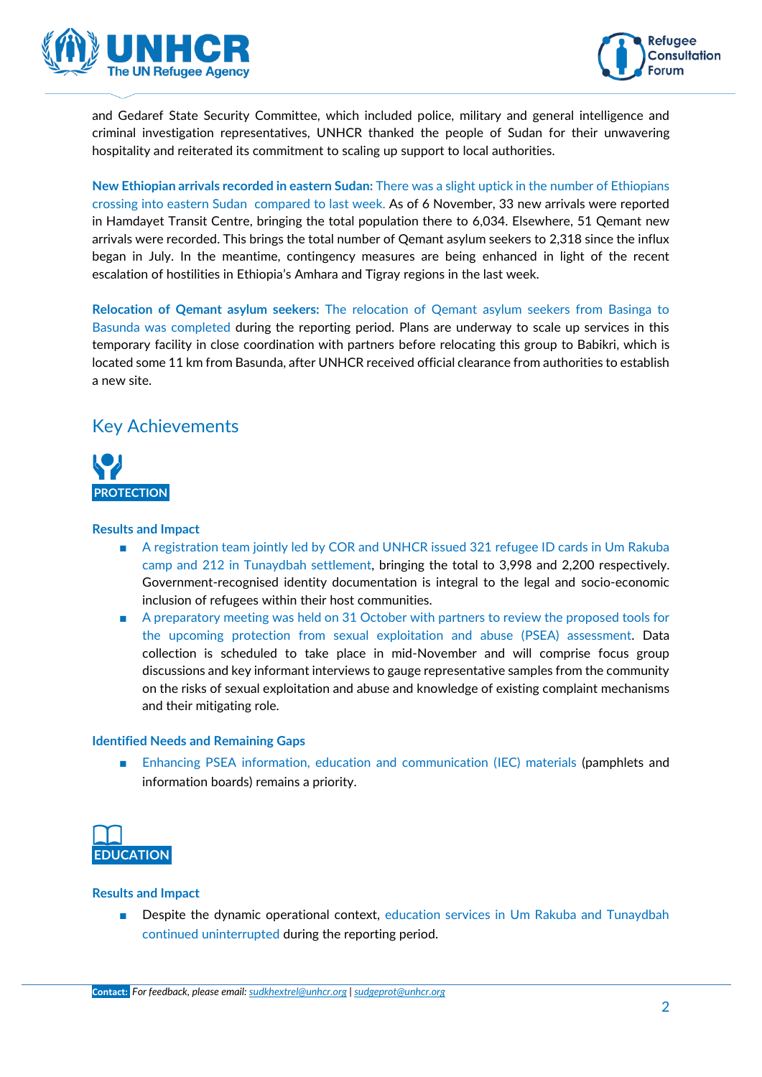



and Gedaref State Security Committee, which included police, military and general intelligence and criminal investigation representatives, UNHCR thanked the people of Sudan for their unwavering hospitality and reiterated its commitment to scaling up support to local authorities.

**New Ethiopian arrivals recorded in eastern Sudan:** There was a slight uptick in the number of Ethiopians crossing into eastern Sudan compared to last week. As of 6 November, 33 new arrivals were reported in Hamdayet Transit Centre, bringing the total population there to 6,034. Elsewhere, 51 Qemant new arrivals were recorded. This brings the total number of Qemant asylum seekers to 2,318 since the influx began in July. In the meantime, contingency measures are being enhanced in light of the recent escalation of hostilities in Ethiopia's Amhara and Tigray regions in the last week.

**Relocation of Qemant asylum seekers:** The relocation of Qemant asylum seekers from Basinga to Basunda was completed during the reporting period. Plans are underway to scale up services in this temporary facility in close coordination with partners before relocating this group to Babikri, which is located some 11 km from Basunda, after UNHCR received official clearance from authorities to establish a new site.

### Key Achievements



#### **Results and Impact**

- A registration team jointly led by COR and UNHCR issued 321 refugee ID cards in Um Rakuba camp and 212 in Tunaydbah settlement, bringing the total to 3,998 and 2,200 respectively. Government-recognised identity documentation is integral to the legal and socio-economic inclusion of refugees within their host communities.
- A preparatory meeting was held on 31 October with partners to review the proposed tools for the upcoming protection from sexual exploitation and abuse (PSEA) assessment. Data collection is scheduled to take place in mid-November and will comprise focus group discussions and key informant interviews to gauge representative samples from the community on the risks of sexual exploitation and abuse and knowledge of existing complaint mechanisms and their mitigating role.

#### **Identified Needs and Remaining Gaps**

■ Enhancing PSEA information, education and communication (IEC) materials (pamphlets and information boards) remains a priority.



#### **Results and Impact**

■ Despite the dynamic operational context, education services in Um Rakuba and Tunaydbah continued uninterrupted during the reporting period.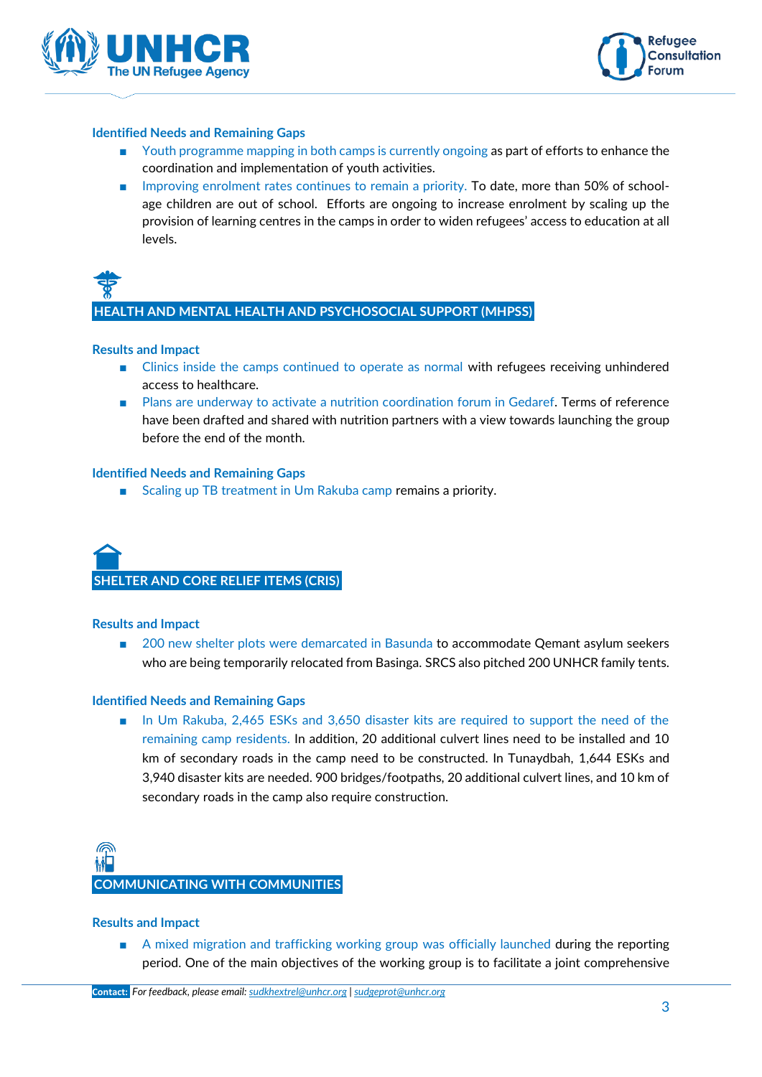



#### **Identified Needs and Remaining Gaps**

- Youth programme mapping in both camps is currently ongoing as part of efforts to enhance the coordination and implementation of youth activities.
- Improving enrolment rates continues to remain a priority. To date, more than 50% of schoolage children are out of school. Efforts are ongoing to increase enrolment by scaling up the provision of learning centres in the camps in order to widen refugees' access to education at all levels.



**HEALTH AND MENTAL HEALTH AND PSYCHOSOCIAL SUPPORT (MHPSS)**

#### **Results and Impact**

- Clinics inside the camps continued to operate as normal with refugees receiving unhindered access to healthcare.
- Plans are underway to activate a nutrition coordination forum in Gedaref. Terms of reference have been drafted and shared with nutrition partners with a view towards launching the group before the end of the month.

#### **Identified Needs and Remaining Gaps**

■ Scaling up TB treatment in Um Rakuba camp remains a priority.



#### **Results and Impact**

■ 200 new shelter plots were demarcated in Basunda to accommodate Qemant asylum seekers who are being temporarily relocated from Basinga. SRCS also pitched 200 UNHCR family tents.

#### **Identified Needs and Remaining Gaps**

■ In Um Rakuba, 2,465 ESKs and 3,650 disaster kits are required to support the need of the remaining camp residents. In addition, 20 additional culvert lines need to be installed and 10 km of secondary roads in the camp need to be constructed. In Tunaydbah, 1,644 ESKs and 3,940 disaster kits are needed. 900 bridges/footpaths, 20 additional culvert lines, and 10 km of secondary roads in the camp also require construction.

# **COMMUNICATING WITH COMMUNITIES**

#### **Results and Impact**

■ A mixed migration and trafficking working group was officially launched during the reporting period. One of the main objectives of the working group is to facilitate a joint comprehensive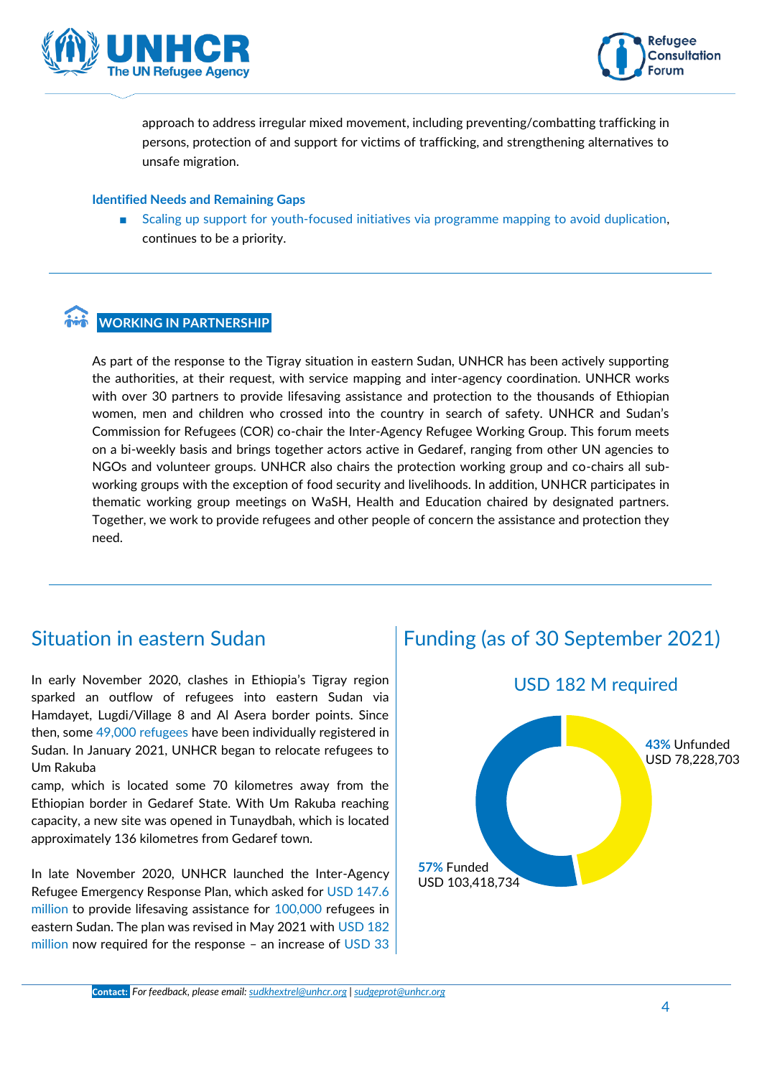



approach to address irregular mixed movement, including preventing/combatting trafficking in persons, protection of and support for victims of trafficking, and strengthening alternatives to unsafe migration.

#### **Identified Needs and Remaining Gaps**

Scaling up support for youth-focused initiatives via programme mapping to avoid duplication, continues to be a priority.

#### **WORKING IN PARTNERSHIP**

As part of the response to the Tigray situation in eastern Sudan, UNHCR has been actively supporting the authorities, at their request, with service mapping and inter-agency coordination. UNHCR works with over 30 partners to provide lifesaving assistance and protection to the thousands of Ethiopian women, men and children who crossed into the country in search of safety. UNHCR and Sudan's Commission for Refugees (COR) co-chair the Inter-Agency Refugee Working Group. This forum meets on a bi-weekly basis and brings together actors active in Gedaref, ranging from other UN agencies to NGOs and volunteer groups. UNHCR also chairs the protection working group and co-chairs all subworking groups with the exception of food security and livelihoods. In addition, UNHCR participates in thematic working group meetings on WaSH, Health and Education chaired by designated partners. Together, we work to provide refugees and other people of concern the assistance and protection they need.

# Situation in eastern Sudan

In early November 2020, clashes in Ethiopia's Tigray region sparked an outflow of refugees into eastern Sudan via Hamdayet, Lugdi/Village 8 and Al Asera border points. Since then, some 49,000 refugees have been individually registered in Sudan. In January 2021, UNHCR began to relocate refugees to Um Rakuba

camp, which is located some 70 kilometres away from the Ethiopian border in Gedaref State. With Um Rakuba reaching capacity, a new site was opened in Tunaydbah, which is located approximately 136 kilometres from Gedaref town.

In late November 2020, UNHCR launched the Inter-Agency Refugee Emergency Response Plan, which asked for USD 147.6 million to provide lifesaving assistance for 100,000 refugees in eastern Sudan. The plan was revised in May 2021 with USD 182 million now required for the response – an increase of USD 33

# Funding (as of 30 September 2021)



USD 182 M required